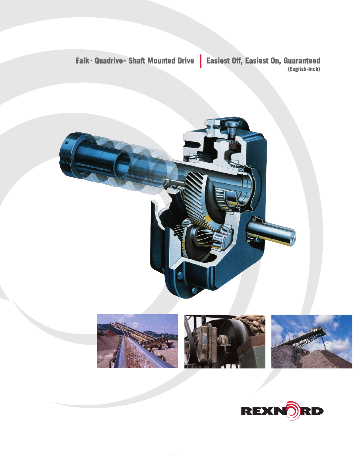Falk<sup>-</sup> Quadrive<sup>®</sup> Shaft Mounted Drive | Easiest Off, Easiest On, Guaranteed









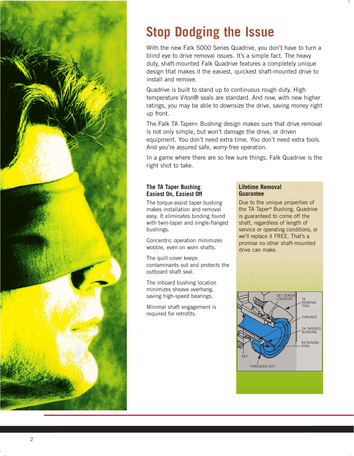

# **Stop Dodging the Issue**

With the new Falk 5000 Series Quadrive, you don't have to turn a blind eye to drive removal issues. It's a simple fact. The heavy duty, shaft-mounted Falk Quadrive features a completely unique design that makes it the easiest, quickest shaft-mounted drive to install and remove.

Quadrive is built to stand up to continuous rough duty. High temperature Viton® seals are standard. And now, with new higher ratings, you may be able to downsize the drive, saving money right up front.

The Falk TA Taper® Bushing design makes sure that drive removal is not only simple, but won't damage the drive, or driven equipment. You don't need extra time. You don't need extra tools. And you're assured safe, worry-free operation.

In a game where there are so few sure things, Falk Quadrive is the right shot to take.

## **The TA Taper Bushing Easiest On, Easiest Off**

The torque-assist taper bushing makes installation and removal easy. It eliminates binding found with twin-taper and single-flanged bushings.

Concentric operation minimizes wobble, even on worn shafts.

The quill cover keeps contaminants out and protects the outboard shaft seal.

The inboard bushing location minimizes sheave overhang, saving high-speed bearings.

Minimal shaft engagement is required for retrofits.

### **Lifetime Removal Guarantee**

Due to the unique properties of the TA Taper® Bushing, Quadrive is guaranteed to come off the shaft, regardless of length of service or operating conditions, or we'll replace it FREE. That's a promise no other shaft-mounted drive can make.

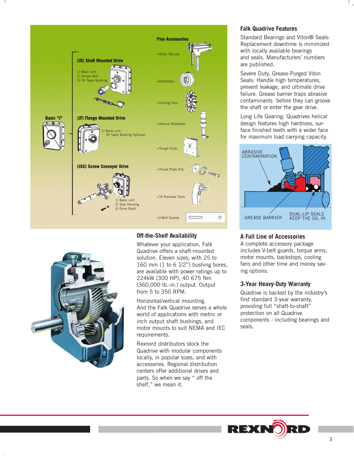



## **Off-the-Shelf Availability**

Whatever your application, Falk Quadrive offers a shaft-mounted solution. Eleven sizes, with 25 to 160 mm (1 to 6 1/2") bushing bores, are available with power ratings up to 224kW (300 HP), 40 675 Nm (360,000 lb.-in.) output. Output from 5 to 350 RPM.

Horizontal/vertical mounting. And the Falk Quadrive serves a whole world of applications with metric or inch output shaft bushings, and motor mounts to suit NEMA and IEC requirements.

Rexnord distributors stock the Quadrive with modular components locally, in popular sizes, and with accessories. Regional distribution centers offer additional drives and parts. So when we say " off the shelf," we mean it.

#### **Falk Quadrive Features**

Standard Bearings and Viton® Seals: Replacement downtime is minimized with locally available bearings and seals. Manufacturers' numbers are published.

Severe Duty, Grease-Purged Viton Seals: Handle high temperatures, prevent leakage, and ultimate drive failure. Grease barrier traps abrasive contaminants before they can groove the shaft or enter the gear drive.

Long Life Gearing: Quadrives helical design features high hardness, surface finished teeth with a wider face for maximum load carrying capacity.



#### **A Full Line of Accessories**

A complete accessory package includes V-belt guards, torque arms, motor mounts, backstops, cooling fans and other time and money saving options.

#### **3-Year Heavy-Duty Warranty**

Quadrive is backed by the industry's first standard 3-year warranty, providing full "shaft-to-shaft" protection on all Quadrive components - including bearings and seals.